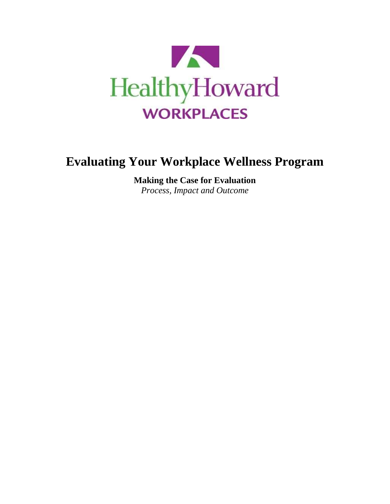

# **Evaluating Your Workplace Wellness Program**

**Making the Case for Evaluation**  *Process, Impact and Outcome*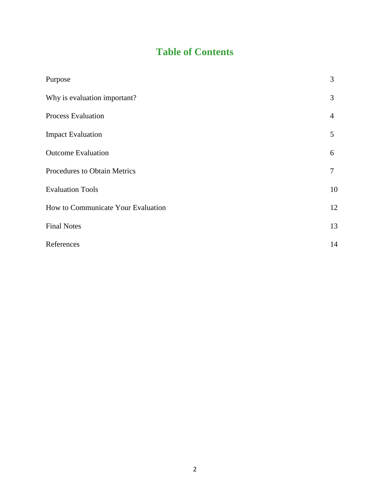# **Table of Contents**

| Purpose                            | 3  |
|------------------------------------|----|
| Why is evaluation important?       | 3  |
| <b>Process Evaluation</b>          | 4  |
| <b>Impact Evaluation</b>           | 5  |
| <b>Outcome Evaluation</b>          | 6  |
| Procedures to Obtain Metrics       | 7  |
| <b>Evaluation Tools</b>            | 10 |
| How to Communicate Your Evaluation | 12 |
| <b>Final Notes</b>                 | 13 |
| References                         | 14 |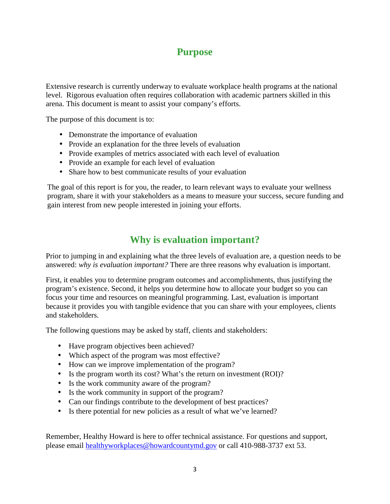### **Purpose**

Extensive research is currently underway to evaluate workplace health programs at the national level. Rigorous evaluation often requires collaboration with academic partners skilled in this arena. This document is meant to assist your company's efforts.

The purpose of this document is to:

- Demonstrate the importance of evaluation
- Provide an explanation for the three levels of evaluation
- Provide examples of metrics associated with each level of evaluation
- Provide an example for each level of evaluation
- Share how to best communicate results of your evaluation

The goal of this report is for you, the reader, to learn relevant ways to evaluate your wellness program, share it with your stakeholders as a means to measure your success, secure funding and gain interest from new people interested in joining your efforts.

# **Why is evaluation important?**

Prior to jumping in and explaining what the three levels of evaluation are, a question needs to be answered: *why is evaluation important?* There are three reasons why evaluation is important.

First, it enables you to determine program outcomes and accomplishments, thus justifying the program's existence. Second, it helps you determine how to allocate your budget so you can focus your time and resources on meaningful programming. Last, evaluation is important because it provides you with tangible evidence that you can share with your employees, clients and stakeholders.

The following questions may be asked by staff, clients and stakeholders:

- Have program objectives been achieved?
- Which aspect of the program was most effective?
- How can we improve implementation of the program?
- Is the program worth its cost? What's the return on investment (ROI)?
- Is the work community aware of the program?
- Is the work community in support of the program?
- Can our findings contribute to the development of best practices?
- Is there potential for new policies as a result of what we've learned?

Remember, Healthy Howard is here to offer technical assistance. For questions and support, please email healthyworkplaces@howardcountymd.gov or call 410-988-3737 ext 53.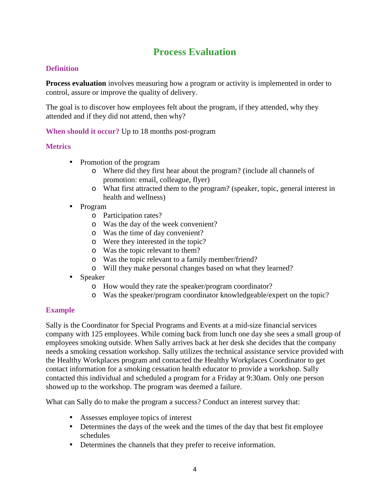# **Process Evaluation**

### **Definition**

**Process evaluation** involves measuring how a program or activity is implemented in order to control, assure or improve the quality of delivery.

The goal is to discover how employees felt about the program, if they attended, why they attended and if they did not attend, then why?

**When should it occur?** Up to 18 months post-program

### **Metrics**

- Promotion of the program
	- o Where did they first hear about the program? (include all channels of promotion: email, colleague, flyer)
	- o What first attracted them to the program? (speaker, topic, general interest in health and wellness)
- Program
	- o Participation rates?
	- o Was the day of the week convenient?
	- o Was the time of day convenient?
	- o Were they interested in the topic?
	- o Was the topic relevant to them?
	- o Was the topic relevant to a family member/friend?
	- o Will they make personal changes based on what they learned?
- Speaker
	- o How would they rate the speaker/program coordinator?
	- o Was the speaker/program coordinator knowledgeable/expert on the topic?

#### **Example**

Sally is the Coordinator for Special Programs and Events at a mid-size financial services company with 125 employees. While coming back from lunch one day she sees a small group of employees smoking outside. When Sally arrives back at her desk she decides that the company needs a smoking cessation workshop. Sally utilizes the technical assistance service provided with the Healthy Workplaces program and contacted the Healthy Workplaces Coordinator to get contact information for a smoking cessation health educator to provide a workshop. Sally contacted this individual and scheduled a program for a Friday at 9:30am. Only one person showed up to the workshop. The program was deemed a failure.

What can Sally do to make the program a success? Conduct an interest survey that:

- Assesses employee topics of interest
- Determines the days of the week and the times of the day that best fit employee schedules
- Determines the channels that they prefer to receive information.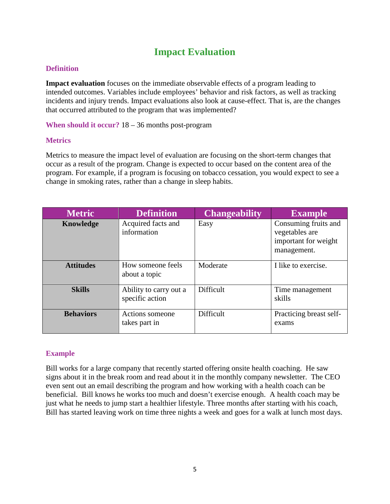# **Impact Evaluation**

### **Definition**

**Impact evaluation** focuses on the immediate observable effects of a program leading to intended outcomes. Variables include employees' behavior and risk factors, as well as tracking incidents and injury trends. Impact evaluations also look at cause-effect. That is, are the changes that occurred attributed to the program that was implemented?

**When should it occur?** 18 – 36 months post-program

#### **Metrics**

Metrics to measure the impact level of evaluation are focusing on the short-term changes that occur as a result of the program. Change is expected to occur based on the content area of the program. For example, if a program is focusing on tobacco cessation, you would expect to see a change in smoking rates, rather than a change in sleep habits.

| <b>Metric</b>    | <b>Definition</b>                         | <b>Changeability</b> | <b>Example</b>                                                                |
|------------------|-------------------------------------------|----------------------|-------------------------------------------------------------------------------|
| Knowledge        | Acquired facts and<br>information         | Easy                 | Consuming fruits and<br>vegetables are<br>important for weight<br>management. |
| <b>Attitudes</b> | How someone feels<br>about a topic        | Moderate             | I like to exercise.                                                           |
| <b>Skills</b>    | Ability to carry out a<br>specific action | Difficult            | Time management<br>skills                                                     |
| <b>Behaviors</b> | Actions someone<br>takes part in          | Difficult            | Practicing breast self-<br>exams                                              |

### **Example**

Bill works for a large company that recently started offering onsite health coaching. He saw signs about it in the break room and read about it in the monthly company newsletter. The CEO even sent out an email describing the program and how working with a health coach can be beneficial. Bill knows he works too much and doesn't exercise enough. A health coach may be just what he needs to jump start a healthier lifestyle. Three months after starting with his coach, Bill has started leaving work on time three nights a week and goes for a walk at lunch most days.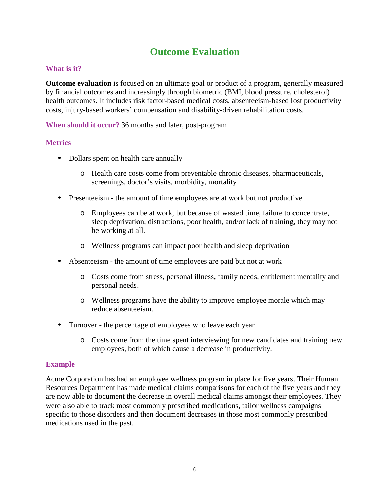# **Outcome Evaluation**

#### **What is it?**

**Outcome evaluation** is focused on an ultimate goal or product of a program, generally measured by financial outcomes and increasingly through biometric (BMI, blood pressure, cholesterol) health outcomes. It includes risk factor-based medical costs, absenteeism-based lost productivity costs, injury-based workers' compensation and disability-driven rehabilitation costs.

**When should it occur?** 36 months and later, post-program

#### **Metrics**

- Dollars spent on health care annually
	- o Health care costs come from preventable chronic diseases, pharmaceuticals, screenings, doctor's visits, morbidity, mortality
- Presenteeism the amount of time employees are at work but not productive
	- o Employees can be at work, but because of wasted time, failure to concentrate, sleep deprivation, distractions, poor health, and/or lack of training, they may not be working at all.
	- o Wellness programs can impact poor health and sleep deprivation
- Absenteeism the amount of time employees are paid but not at work
	- o Costs come from stress, personal illness, family needs, entitlement mentality and personal needs.
	- o Wellness programs have the ability to improve employee morale which may reduce absenteeism.
- Turnover the percentage of employees who leave each year
	- o Costs come from the time spent interviewing for new candidates and training new employees, both of which cause a decrease in productivity.

#### **Example**

Acme Corporation has had an employee wellness program in place for five years. Their Human Resources Department has made medical claims comparisons for each of the five years and they are now able to document the decrease in overall medical claims amongst their employees. They were also able to track most commonly prescribed medications, tailor wellness campaigns specific to those disorders and then document decreases in those most commonly prescribed medications used in the past.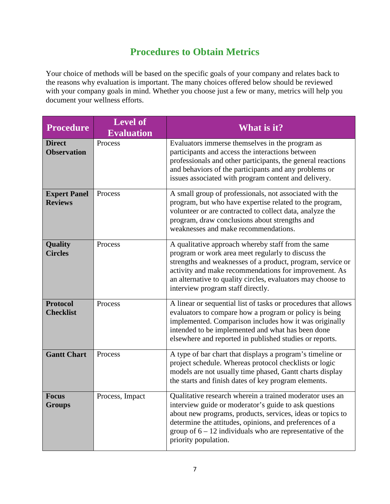# **Procedures to Obtain Metrics**

Your choice of methods will be based on the specific goals of your company and relates back to the reasons why evaluation is important. The many choices offered below should be reviewed with your company goals in mind. Whether you choose just a few or many, metrics will help you document your wellness efforts.

| <b>Procedure</b>                      | <b>Level of</b><br><b>Evaluation</b> | What is it?                                                                                                                                                                                                                                                                                                                         |
|---------------------------------------|--------------------------------------|-------------------------------------------------------------------------------------------------------------------------------------------------------------------------------------------------------------------------------------------------------------------------------------------------------------------------------------|
| <b>Direct</b><br><b>Observation</b>   | Process                              | Evaluators immerse themselves in the program as<br>participants and access the interactions between<br>professionals and other participants, the general reactions<br>and behaviors of the participants and any problems or<br>issues associated with program content and delivery.                                                 |
| <b>Expert Panel</b><br><b>Reviews</b> | Process                              | A small group of professionals, not associated with the<br>program, but who have expertise related to the program,<br>volunteer or are contracted to collect data, analyze the<br>program, draw conclusions about strengths and<br>weaknesses and make recommendations.                                                             |
| <b>Quality</b><br><b>Circles</b>      | Process                              | A qualitative approach whereby staff from the same<br>program or work area meet regularly to discuss the<br>strengths and weaknesses of a product, program, service or<br>activity and make recommendations for improvement. As<br>an alternative to quality circles, evaluators may choose to<br>interview program staff directly. |
| <b>Protocol</b><br><b>Checklist</b>   | Process                              | A linear or sequential list of tasks or procedures that allows<br>evaluators to compare how a program or policy is being<br>implemented. Comparison includes how it was originally<br>intended to be implemented and what has been done<br>elsewhere and reported in published studies or reports.                                  |
| <b>Gantt Chart</b>                    | Process                              | A type of bar chart that displays a program's timeline or<br>project schedule. Whereas protocol checklists or logic<br>models are not usually time phased, Gantt charts display<br>the starts and finish dates of key program elements.                                                                                             |
| <b>Focus</b><br><b>Groups</b>         | Process, Impact                      | Qualitative research wherein a trained moderator uses an<br>interview guide or moderator's guide to ask questions<br>about new programs, products, services, ideas or topics to<br>determine the attitudes, opinions, and preferences of a<br>group of $6 - 12$ individuals who are representative of the<br>priority population.   |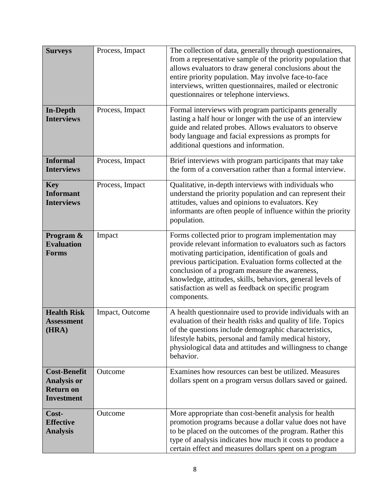| <b>Surveys</b>                                                                     | Process, Impact                                                                                                                                                                                                                                                                                                                                                                                                                          | The collection of data, generally through questionnaires,<br>from a representative sample of the priority population that<br>allows evaluators to draw general conclusions about the<br>entire priority population. May involve face-to-face<br>interviews, written questionnaires, mailed or electronic<br>questionnaires or telephone interviews. |  |
|------------------------------------------------------------------------------------|------------------------------------------------------------------------------------------------------------------------------------------------------------------------------------------------------------------------------------------------------------------------------------------------------------------------------------------------------------------------------------------------------------------------------------------|-----------------------------------------------------------------------------------------------------------------------------------------------------------------------------------------------------------------------------------------------------------------------------------------------------------------------------------------------------|--|
| <b>In-Depth</b><br><b>Interviews</b>                                               | Process, Impact                                                                                                                                                                                                                                                                                                                                                                                                                          | Formal interviews with program participants generally<br>lasting a half hour or longer with the use of an interview<br>guide and related probes. Allows evaluators to observe<br>body language and facial expressions as prompts for<br>additional questions and information.                                                                       |  |
| <b>Informal</b><br><b>Interviews</b>                                               | Process, Impact                                                                                                                                                                                                                                                                                                                                                                                                                          | Brief interviews with program participants that may take<br>the form of a conversation rather than a formal interview.                                                                                                                                                                                                                              |  |
| <b>Key</b><br><b>Informant</b><br><b>Interviews</b>                                | Process, Impact                                                                                                                                                                                                                                                                                                                                                                                                                          | Qualitative, in-depth interviews with individuals who<br>understand the priority population and can represent their<br>attitudes, values and opinions to evaluators. Key<br>informants are often people of influence within the priority<br>population.                                                                                             |  |
| Program &<br><b>Evaluation</b><br><b>Forms</b>                                     | Forms collected prior to program implementation may<br>Impact<br>provide relevant information to evaluators such as factors<br>motivating participation, identification of goals and<br>previous participation. Evaluation forms collected at the<br>conclusion of a program measure the awareness,<br>knowledge, attitudes, skills, behaviors, general levels of<br>satisfaction as well as feedback on specific program<br>components. |                                                                                                                                                                                                                                                                                                                                                     |  |
| <b>Health Risk</b><br><b>Assessment</b><br>(HRA)                                   | A health questionnaire used to provide individuals with an<br>Impact, Outcome<br>evaluation of their health risks and quality of life. Topics<br>of the questions include demographic characteristics,<br>lifestyle habits, personal and family medical history,<br>physiological data and attitudes and willingness to change<br>behavior.                                                                                              |                                                                                                                                                                                                                                                                                                                                                     |  |
| <b>Cost-Benefit</b><br><b>Analysis or</b><br><b>Return on</b><br><b>Investment</b> | Outcome                                                                                                                                                                                                                                                                                                                                                                                                                                  | Examines how resources can best be utilized. Measures<br>dollars spent on a program versus dollars saved or gained.                                                                                                                                                                                                                                 |  |
| Cost-<br><b>Effective</b><br><b>Analysis</b>                                       | Outcome                                                                                                                                                                                                                                                                                                                                                                                                                                  | More appropriate than cost-benefit analysis for health<br>promotion programs because a dollar value does not have<br>to be placed on the outcomes of the program. Rather this<br>type of analysis indicates how much it costs to produce a<br>certain effect and measures dollars spent on a program                                                |  |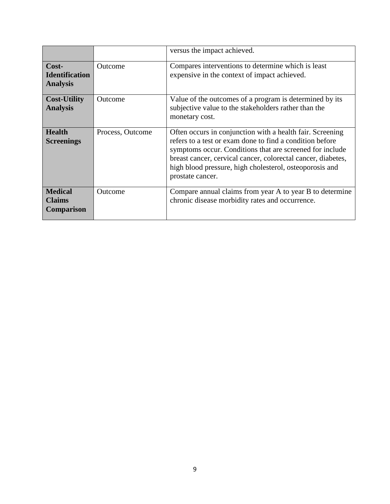|                                                     |                  | versus the impact achieved.                                                                                                                                                                                                                                                                                                      |  |
|-----------------------------------------------------|------------------|----------------------------------------------------------------------------------------------------------------------------------------------------------------------------------------------------------------------------------------------------------------------------------------------------------------------------------|--|
| $Cost-$<br><b>Identification</b><br><b>Analysis</b> | <b>Outcome</b>   | Compares interventions to determine which is least<br>expensive in the context of impact achieved.                                                                                                                                                                                                                               |  |
| <b>Cost-Utility</b><br><b>Analysis</b>              | <b>Outcome</b>   | Value of the outcomes of a program is determined by its<br>subjective value to the stakeholders rather than the<br>monetary cost.                                                                                                                                                                                                |  |
| <b>Health</b><br><b>Screenings</b>                  | Process, Outcome | Often occurs in conjunction with a health fair. Screening<br>refers to a test or exam done to find a condition before<br>symptoms occur. Conditions that are screened for include<br>breast cancer, cervical cancer, colorectal cancer, diabetes,<br>high blood pressure, high cholesterol, osteoporosis and<br>prostate cancer. |  |
| <b>Medical</b><br><b>Claims</b><br>Comparison       | <b>Outcome</b>   | Compare annual claims from year A to year B to determine<br>chronic disease morbidity rates and occurrence.                                                                                                                                                                                                                      |  |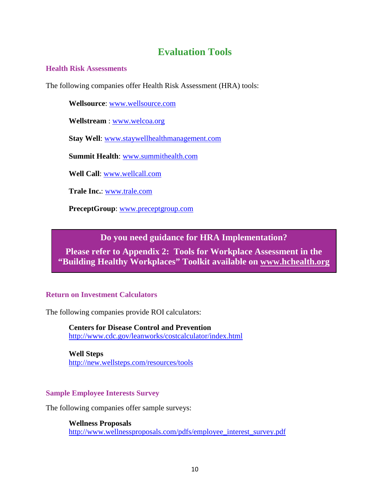### **Evaluation Tools**

#### **Health Risk Assessments**

The following companies offer Health Risk Assessment (HRA) tools:

**Wellsource**: www.wellsource.com

**Wellstream** : www.welcoa.org

**Stay Well**: www.staywellhealthmanagement.com

**Summit Health**: www.summithealth.com

**Well Call**: www.wellcall.com

**Trale Inc.**: www.trale.com

**PreceptGroup**: www.preceptgroup.com

### **Do you need guidance for HRA Implementation?**

**Please refer to Appendix 2: Tools for Workplace Assessment in the "Building Healthy Workplaces" Toolkit available on www.hchealth.org**

#### **Return on Investment Calculators**

The following companies provide ROI calculators:

**Centers for Disease Control and Prevention**  http://www.cdc.gov/leanworks/costcalculator/index.html

**Well Steps** http://new.wellsteps.com/resources/tools

#### **Sample Employee Interests Survey**

The following companies offer sample surveys:

#### **Wellness Proposals**

http://www.wellnessproposals.com/pdfs/employee\_interest\_survey.pdf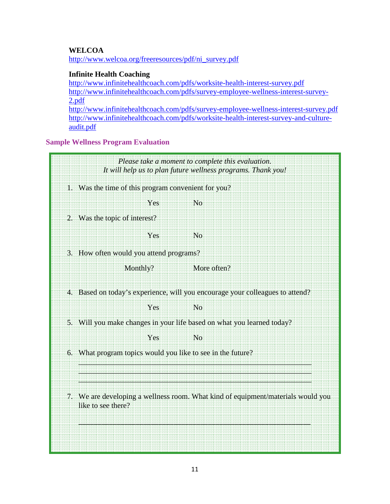#### **WELCOA**

http://www.welcoa.org/freeresources/pdf/ni\_survey.pdf

#### **Infinite Health Coaching**

http://www.infinitehealthcoach.com/pdfs/worksite-health-interest-survey.pdf http://www.infinitehealthcoach.com/pdfs/survey-employee-wellness-interest-survey-2.pdf http://www.infinitehealthcoach.com/pdfs/survey-employee-wellness-interest-survey.pdf http://www.infinitehealthcoach.com/pdfs/worksite-health-interest-survey-and-cultureaudit.pdf

**Sample Wellness Program Evaluation** 

|                                         |                                                                                                        | Please take a moment to complete this evaluation.<br>It will help us to plan future wellness programs. Thank you! |
|-----------------------------------------|--------------------------------------------------------------------------------------------------------|-------------------------------------------------------------------------------------------------------------------|
|                                         | 1. Was the time of this program convenient for you?                                                    |                                                                                                                   |
|                                         | Yes                                                                                                    | No                                                                                                                |
|                                         | 2. Was the topic of interest?                                                                          |                                                                                                                   |
|                                         | Yes                                                                                                    | No                                                                                                                |
| 3. How often would you attend programs? |                                                                                                        |                                                                                                                   |
|                                         | Monthly?                                                                                               | More often?                                                                                                       |
|                                         | 4. Based on today's experience, will you encourage your colleagues to attend?                          |                                                                                                                   |
|                                         | Yes                                                                                                    | No                                                                                                                |
|                                         | 5. Will you make changes in your life based on what you learned today?                                 |                                                                                                                   |
|                                         | Yes                                                                                                    | N <sub>0</sub>                                                                                                    |
|                                         | 6. What program topics would you like to see in the future?                                            |                                                                                                                   |
|                                         | 7. We are developing a wellness room. What kind of equipment/materials would you<br>like to see there? |                                                                                                                   |
|                                         |                                                                                                        |                                                                                                                   |
|                                         |                                                                                                        |                                                                                                                   |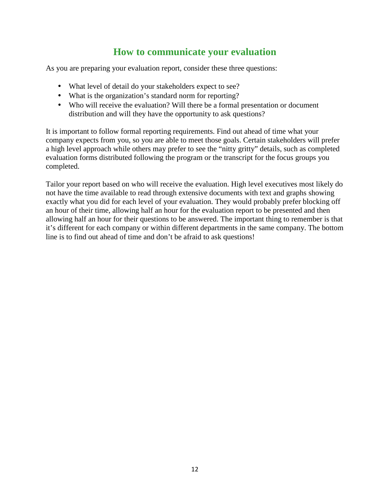# **How to communicate your evaluation**

As you are preparing your evaluation report, consider these three questions:

- What level of detail do your stakeholders expect to see?
- What is the organization's standard norm for reporting?
- Who will receive the evaluation? Will there be a formal presentation or document distribution and will they have the opportunity to ask questions?

It is important to follow formal reporting requirements. Find out ahead of time what your company expects from you, so you are able to meet those goals. Certain stakeholders will prefer a high level approach while others may prefer to see the "nitty gritty" details, such as completed evaluation forms distributed following the program or the transcript for the focus groups you completed.

Tailor your report based on who will receive the evaluation. High level executives most likely do not have the time available to read through extensive documents with text and graphs showing exactly what you did for each level of your evaluation. They would probably prefer blocking off an hour of their time, allowing half an hour for the evaluation report to be presented and then allowing half an hour for their questions to be answered. The important thing to remember is that it's different for each company or within different departments in the same company. The bottom line is to find out ahead of time and don't be afraid to ask questions!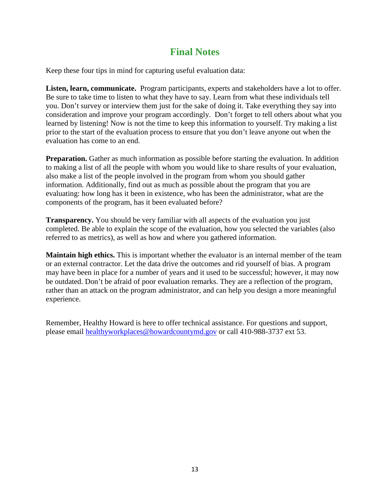# **Final Notes**

Keep these four tips in mind for capturing useful evaluation data:

**Listen, learn, communicate.** Program participants, experts and stakeholders have a lot to offer. Be sure to take time to listen to what they have to say. Learn from what these individuals tell you. Don't survey or interview them just for the sake of doing it. Take everything they say into consideration and improve your program accordingly. Don't forget to tell others about what you learned by listening! Now is not the time to keep this information to yourself. Try making a list prior to the start of the evaluation process to ensure that you don't leave anyone out when the evaluation has come to an end.

**Preparation.** Gather as much information as possible before starting the evaluation. In addition to making a list of all the people with whom you would like to share results of your evaluation, also make a list of the people involved in the program from whom you should gather information. Additionally, find out as much as possible about the program that you are evaluating: how long has it been in existence, who has been the administrator, what are the components of the program, has it been evaluated before?

**Transparency.** You should be very familiar with all aspects of the evaluation you just completed. Be able to explain the scope of the evaluation, how you selected the variables (also referred to as metrics), as well as how and where you gathered information.

**Maintain high ethics.** This is important whether the evaluator is an internal member of the team or an external contractor. Let the data drive the outcomes and rid yourself of bias. A program may have been in place for a number of years and it used to be successful; however, it may now be outdated. Don't be afraid of poor evaluation remarks. They are a reflection of the program, rather than an attack on the program administrator, and can help you design a more meaningful experience.

Remember, Healthy Howard is here to offer technical assistance. For questions and support, please email healthyworkplaces@howardcountymd.gov or call 410-988-3737 ext 53.